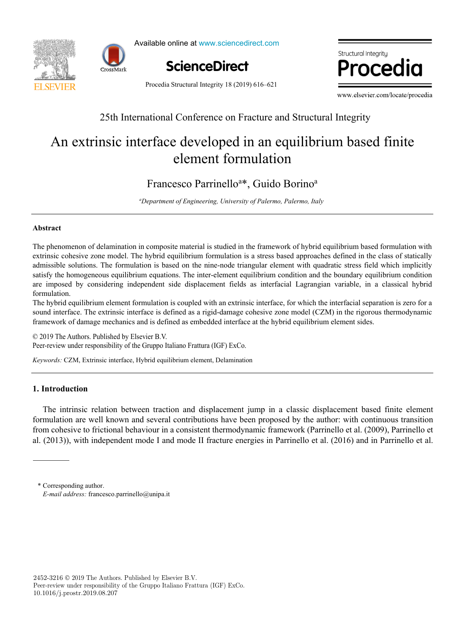



Available online at www.sciencedirect.com



Structural Integrity.  $\blacksquare$ 

Procedia Structural Integrity 18 (2019) 616–621

www.elsevier.com/locate/procedia

## 25th International Conference on Fracture and Structure and Structure and Structure and Structure and Structure and Structure and Structure and Structure and Structure and Structure and Structure and Structure and Structu 25th International Conference on Fracture and Structural Integrity

# An extrinsic interface developed in an equilibrium based finite element formulation An extrinsic interface developed in an equilibrium based finite element formulation

# Francesco Parrinelloa \*, Guido Borinoa Francesco Parrinello<sup>a\*</sup>, Guido Borino<sup>a</sup>

*a Department of Engineering, University of Palermo, Palermo, Italy* 

## **Abstract**

The phenomenon of delamination in composite material is studied in the framework of hybrid equilibrium based formulation with extrinsic cohesive zone model. The hybrid equilibrium formulation is a stress based approaches defined in the class of statically admissible solutions. The formulation is based on the nine-node triangular element with quadratic stress field which implicitly satisfy the homogeneous equilibrium equations. The inter-element equilibrium condition and the boundary equilibrium condition are imposed by considering independent side displacement fields as interfacial Lagrangian variable, in a classical hybrid  $\sum_{i=1}^n$  formulation is coupled with an extrinsic interface, for which the interface, for an extrinsic interface,  $\sum_{i=1}^n a_i$ formulation.

The hybrid equilibrium element formulation is coupled with an extrinsic interface, for which the interfacial separation is zero for a sound interface. The extrinsic interface is defined as a rigid-damage cohesive zone model (CZM) in the rigorous thermodynamic framework of damage mechanics and is defined as embedded interface at the hybrid equilibrium element sides.

© 2019 The Authors. Published by Elsevier B.V. © 2019 The Authors. Published by Elsevier B.V. Peer-review under responsibility of the Gruppo Italiano Frattura (IGF) ExCo. Peer-review under responsibility of the Gruppo Italiano Frattura (IGF) ExCo. © 2019 The Authors. Published by Elsevier B.V. Peer-review under responsibility of the Gruppo Italiano Frattura (IGF) ExCo.

*Keywords:* CZM, Extrinsic interface, Hybrid equilibrium element, Delamination

# **1. Introduction**

The intrinsic relation between traction and displacement jump in a classic displacement based finite element formulation are well known and several contributions have been proposed by the author: with continuous transition from cohesive to frictional behaviour in a consistent thermodynamic framework (Parrinello et al. (2009), Parrinello et al. (2013)), with independent mode I and mode II fracture energies in Parrinello et al. (2016) and in Parrinello et al.

<sup>\*</sup> Corresponding author. E-mail address: francesco.parrinello@unipa.it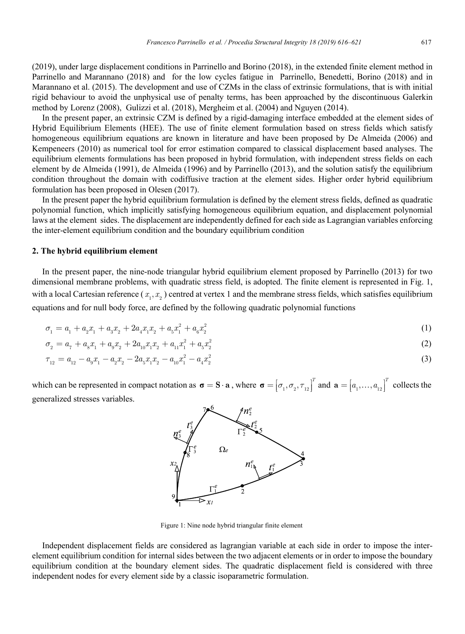(2019), under large displacement conditions in Parrinello and Borino (2018), in the extended finite element method in Parrinello and Marannano (2018) and for the low cycles fatigue in Parrinello, Benedetti, Borino (2018) and in Marannano et al. (2015). The development and use of CZMs in the class of extrinsic formulations, that is with initial rigid behaviour to avoid the unphysical use of penalty terms, has been approached by the discontinuous Galerkin method by Lorenz (2008), Gulizzi et al. (2018), Mergheim et al. (2004) and Nguyen (2014).

In the present paper, an extrinsic CZM is defined by a rigid-damaging interface embedded at the element sides of Hybrid Equilibrium Elements (HEE). The use of finite element formulation based on stress fields which satisfy homogeneous equilibrium equations are known in literature and have been proposed by De Almeida (2006) and Kempeneers (2010) as numerical tool for error estimation compared to classical displacement based analyses. The equilibrium elements formulations has been proposed in hybrid formulation, with independent stress fields on each element by de Almeida (1991), de Almeida (1996) and by Parrinello (2013), and the solution satisfy the equilibrium condition throughout the domain with codiffusive traction at the element sides. Higher order hybrid equilibrium formulation has been proposed in Olesen (2017).

In the present paper the hybrid equilibrium formulation is defined by the element stress fields, defined as quadratic polynomial function, which implicitly satisfying homogeneous equilibrium equation, and displacement polynomial laws at the element sides. The displacement are independently defined for each side as Lagrangian variables enforcing the inter-element equilibrium condition and the boundary equilibrium condition

#### **2. The hybrid equilibrium element**

In the present paper, the nine-node triangular hybrid equilibrium element proposed by Parrinello (2013) for two dimensional membrane problems, with quadratic stress field, is adopted. The finite element is represented in Fig. 1, with a local Cartesian reference  $(x_1, x_2)$  centred at vertex 1 and the membrane stress fields, which satisfies equilibrium equations and for null body force, are defined by the following quadratic polynomial functions

$$
\sigma_1 = a_1 + a_2 x_1 + a_3 x_2 + 2a_4 x_1 x_2 + a_5 x_1^2 + a_6 x_2^2 \tag{1}
$$

$$
\sigma_2 = a_7 + a_8 x_1 + a_9 x_2 + 2a_{10} x_1 x_2 + a_{11} x_1^2 + a_5 x_2^2 \tag{2}
$$

$$
\tau_{12} = a_{12} - a_9 x_1 - a_2 x_2 - 2 a_5 x_1 x_2 - a_{10} x_1^2 - a_4 x_2^2 \tag{3}
$$

which can be represented in compact notation as  $\boldsymbol{\sigma} = \mathbf{S} \cdot \mathbf{a}$ , where  $\boldsymbol{\sigma} = \begin{bmatrix} \sigma_1, \sigma_2, \tau_{12} \end{bmatrix}^T$  and  $\mathbf{a} = \begin{bmatrix} a_1, \dots, a_{12} \end{bmatrix}^T$  collects the generalized stresses variables.



Figure 1: Nine node hybrid triangular finite element

Independent displacement fields are considered as lagrangian variable at each side in order to impose the interelement equilibrium condition for internal sides between the two adjacent elements or in order to impose the boundary equilibrium condition at the boundary element sides. The quadratic displacement field is considered with three independent nodes for every element side by a classic isoparametric formulation.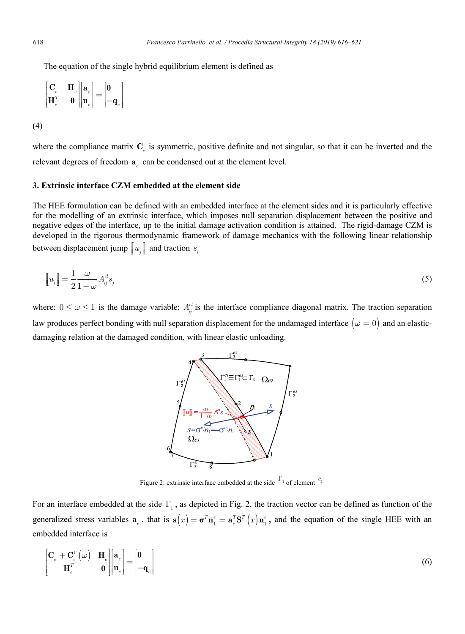The equation of the single hybrid equilibrium element is defined as

$$
\begin{bmatrix} \mathbf{C}_e & \mathbf{H}_e \\ \mathbf{H}_e^T & \mathbf{0} \end{bmatrix} \begin{bmatrix} \mathbf{a}_e \\ \mathbf{u}_e \end{bmatrix} = \begin{bmatrix} \mathbf{0} \\ -\mathbf{q}_e \end{bmatrix}
$$

(4)

where the compliance matrix C<sub>e</sub> is symmetric, positive definite and not singular, so that it can be inverted and the relevant degrees of freedom  $a_{\alpha}$  can be condensed out at the element level.

### **3. Extrinsic interface CZM embedded at the element side**

The HEE formulation can be defined with an embedded interface at the element sides and it is particularly effective for the modelling of an extrinsic interface, which imposes null separation displacement between the positive and negative edges of the interface, up to the initial damage activation condition is attained. The rigid-damage CZM is developed in the rigorous thermodynamic framework of damage mechanics with the following linear relationship between displacement jump  $\left[u_i\right]$  and traction  $s_i$ 

$$
\left[\!\left[u_i\right]\!\right] = \frac{1}{2} \frac{\omega}{1 - \omega} A_{ij}^{el} s_j \tag{5}
$$

where:  $0 \le \omega \le 1$  is the damage variable;  $A_{ij}^{el}$  is the interface compliance diagonal matrix. The traction separation law produces perfect bonding with null separation displacement for the undamaged interface  $(\omega = 0)$  and an elasticdamaging relation at the damaged condition, with linear elastic unloading.



Figure 2: extrinsic interface embedded at the side  $\Gamma_1$  of element  $e_1$ 

For an interface embedded at the side  $\Gamma$ , as depicted in Fig. 2, the traction vector can be defined as function of the generalized stress variables  $a_e$ , that is  $s(x) = \sigma^T n_i^e = a_e^T S^T(x) n_i^e$ , and the equation of the single HEE with an embedded interface is

$$
\begin{bmatrix} \mathbf{C}_e + \mathbf{C}_e^{\Gamma} \left( \omega \right) & \mathbf{H}_e \\ \mathbf{H}_e^T & \mathbf{0} \end{bmatrix} \begin{bmatrix} \mathbf{a}_e \\ \mathbf{u}_e \end{bmatrix} = \begin{bmatrix} \mathbf{0} \\ -\mathbf{q}_e \end{bmatrix}
$$
 (6)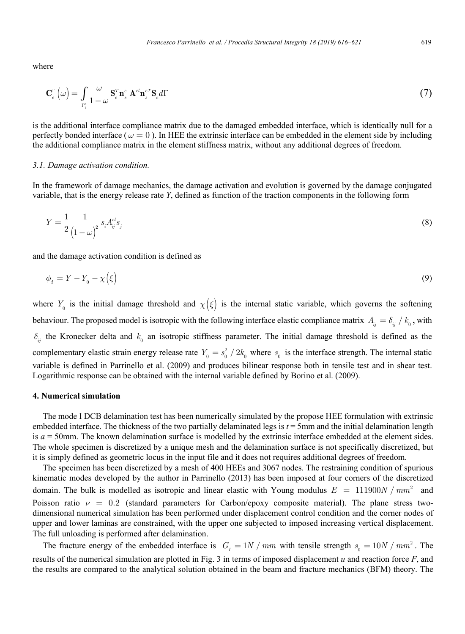where

$$
\mathbf{C}_{e}^{\Gamma}\left(\omega\right) = \int_{\Gamma_{1}^{e}} \frac{\omega}{1 - \omega} \mathbf{S}_{e}^{T} \mathbf{n}_{s}^{e} \mathbf{A}^{e \mathbf{I}} \mathbf{n}_{s}^{e \mathbf{T}} \mathbf{S}_{e} d\Gamma
$$
\n(7)

is the additional interface compliance matrix due to the damaged embedded interface, which is identically null for a perfectly bonded interface ( $\omega = 0$ ). In HEE the extrinsic interface can be embedded in the element side by including the additional compliance matrix in the element stiffness matrix, without any additional degrees of freedom.

### *3.1. Damage activation condition.*

In the framework of damage mechanics, the damage activation and evolution is governed by the damage conjugated variable, that is the energy release rate *Y*, defined as function of the traction components in the following form

$$
Y = \frac{1}{2} \frac{1}{\left(1 - \omega\right)^2} s_i A_{ij}^{el} s_j \tag{8}
$$

and the damage activation condition is defined as

$$
\phi_d = Y - Y_0 - \chi(\xi) \tag{9}
$$

where  $Y_0$  is the initial damage threshold and  $\chi(\xi)$  is the internal static variable, which governs the softening behaviour. The proposed model is isotropic with the following interface elastic compliance matrix  $A_{ij} = \delta_{ij} / k_0$ , with  $\delta_{ii}$  the Kronecker delta and  $k_0$  an isotropic stiffness parameter. The initial damage threshold is defined as the complementary elastic strain energy release rate  $Y_0 = s_0^2 / 2k_0$  where  $s_0$  is the interface strength. The internal static variable is defined in Parrinello et al. (2009) and produces bilinear response both in tensile test and in shear test. Logarithmic response can be obtained with the internal variable defined by Borino et al. (2009).

### **4. Numerical simulation**

The mode I DCB delamination test has been numerically simulated by the propose HEE formulation with extrinsic embedded interface. The thickness of the two partially delaminated legs is  $t = 5$ mm and the initial delamination length is *a* = 50mm. The known delamination surface is modelled by the extrinsic interface embedded at the element sides. The whole specimen is discretized by a unique mesh and the delamination surface is not specifically discretized, but it is simply defined as geometric locus in the input file and it does not requires additional degrees of freedom.

The specimen has been discretized by a mesh of 400 HEEs and 3067 nodes. The restraining condition of spurious kinematic modes developed by the author in Parrinello (2013) has been imposed at four corners of the discretized domain. The bulk is modelled as isotropic and linear elastic with Young modulus  $E = 111900 N / mm^2$  and Poisson ratio  $\nu = 0.2$  (standard parameters for Carbon/epoxy composite material). The plane stress twodimensional numerical simulation has been performed under displacement control condition and the corner nodes of upper and lower laminas are constrained, with the upper one subjected to imposed increasing vertical displacement. The full unloading is performed after delamination.

The fracture energy of the embedded interface is  $G_I = 1N / mm$  with tensile strength  $s_0 = 10N / mm^2$ . The results of the numerical simulation are plotted in Fig. 3 in terms of imposed displacement *u* and reaction force *F*, and the results are compared to the analytical solution obtained in the beam and fracture mechanics (BFM) theory. The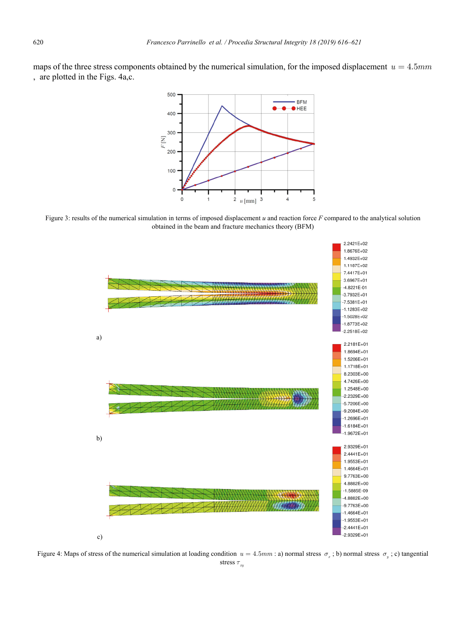maps of the three stress components obtained by the numerical simulation, for the imposed displacement  $u = 4.5mm$ , are plotted in the Figs. 4a,c.



Figure 3: results of the numerical simulation in terms of imposed displacement *u* and reaction force *F* compared to the analytical solution obtained in the beam and fracture mechanics theory (BFM)



Figure 4: Maps of stress of the numerical simulation at loading condition  $u = 4.5 mm$ : a) normal stress  $\sigma_x$ ; b) normal stress  $\sigma_y$ ; c) tangential stress  $\tau_{xy}$